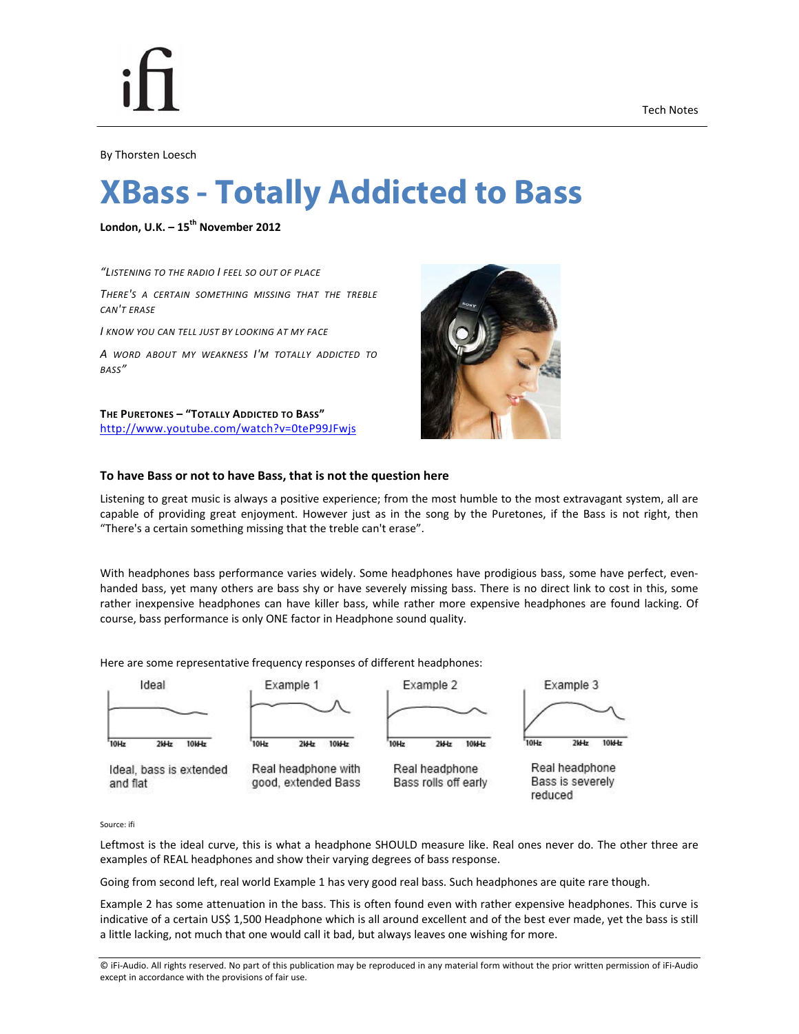By Thorsten Loesch

# **XBass - Totally Addicted to Bass**

**London, U.K. – 15th November 2012**

*"LISTENING TO THE RADIO I FEEL SO OUT OF PLACE*

*THERE'S A CERTAIN SOMETHING MISSING THAT THE TREBLE CAN'T ERASE*

*I KNOW YOU CAN TELL JUST BY LOOKING AT MY FACE*

*A WORD ABOUT MY WEAKNESS I'M TOTALLY ADDICTED TO BASS"*

**THE PURETONES – "TOTALLY ADDICTED TO BASS"** http://www.youtube.com/watch?v=0teP99JFwjs



## **To have Bass or not to have Bass, that is not the question here**

Listening to great music is always a positive experience; from the most humble to the most extravagant system, all are capable of providing great enjoyment. However just as in the song by the Puretones, if the Bass is not right, then "There's a certain something missing that the treble can't erase".

With headphones bass performance varies widely. Some headphones have prodigious bass, some have perfect, evenhanded bass, yet many others are bass shy or have severely missing bass. There is no direct link to cost in this, some rather inexpensive headphones can have killer bass, while rather more expensive headphones are found lacking. Of course, bass performance is only ONE factor in Headphone sound quality.

Here are some representative frequency responses of different headphones:



Source: ifi

Leftmost is the ideal curve, this is what a headphone SHOULD measure like. Real ones never do. The other three are examples of REAL headphones and show their varying degrees of bass response.

Going from second left, real world Example 1 has very good real bass. Such headphones are quite rare though.

Example 2 has some attenuation in the bass. This is often found even with rather expensive headphones. This curve is indicative of a certain US\$ 1,500 Headphone which is all around excellent and of the best ever made, yet the bass is still a little lacking, not much that one would call it bad, but always leaves one wishing for more.

© iFi‐Audio. All rights reserved. No part of this publication may be reproduced in any material form without the prior written permission of iFi‐Audio except in accordance with the provisions of fair use.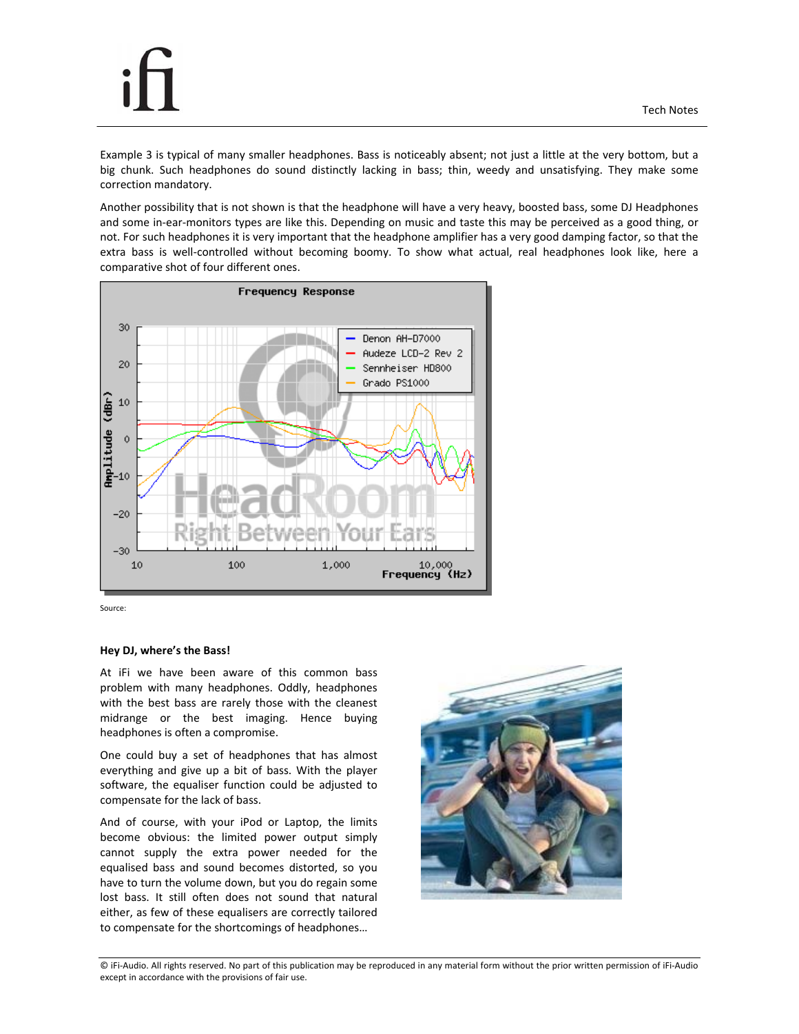Example 3 is typical of many smaller headphones. Bass is noticeably absent; not just a little at the very bottom, but a big chunk. Such headphones do sound distinctly lacking in bass; thin, weedy and unsatisfying. They make some correction mandatory.

Another possibility that is not shown is that the headphone will have a very heavy, boosted bass, some DJ Headphones and some in‐ear‐monitors types are like this. Depending on music and taste this may be perceived as a good thing, or not. For such headphones it is very important that the headphone amplifier has a very good damping factor, so that the extra bass is well-controlled without becoming boomy. To show what actual, real headphones look like, here a comparative shot of four different ones.





## **Hey DJ, where's the Bass!**

At iFi we have been aware of this common bass problem with many headphones. Oddly, headphones with the best bass are rarely those with the cleanest midrange or the best imaging. Hence buying headphones is often a compromise.

One could buy a set of headphones that has almost everything and give up a bit of bass. With the player software, the equaliser function could be adjusted to compensate for the lack of bass.

And of course, with your iPod or Laptop, the limits become obvious: the limited power output simply cannot supply the extra power needed for the equalised bass and sound becomes distorted, so you have to turn the volume down, but you do regain some lost bass. It still often does not sound that natural either, as few of these equalisers are correctly tailored to compensate for the shortcomings of headphones…



© iFi‐Audio. All rights reserved. No part of this publication may be reproduced in any material form without the prior written permission of iFi‐Audio except in accordance with the provisions of fair use.